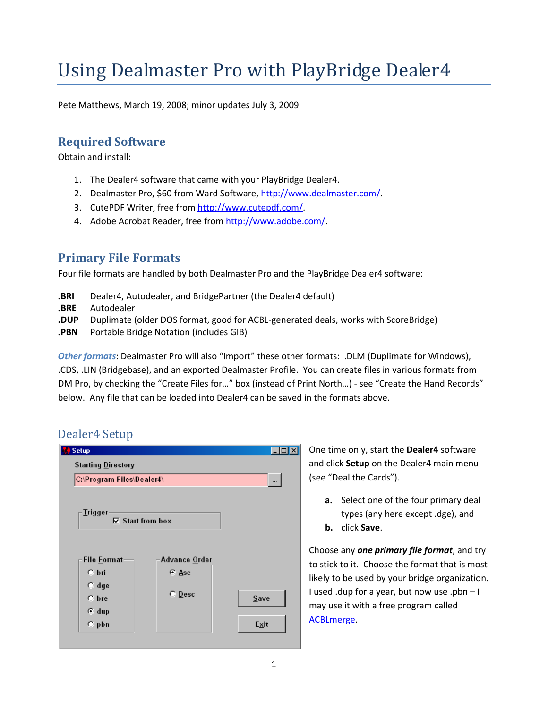# Using Dealmaster Pro with PlayBridge Dealer4

Pete Matthews, March 19, 2008; minor updates July 3, 2009

# Required Software

Obtain and install:

- 1. The Dealer4 software that came with your PlayBridge Dealer4.
- 2. Dealmaster Pro, \$60 from Ward Software, http://www.dealmaster.com/.
- 3. CutePDF Writer, free from http://www.cutepdf.com/.
- 4. Adobe Acrobat Reader, free from http://www.adobe.com/.

### Primary File Formats

Four file formats are handled by both Dealmaster Pro and the PlayBridge Dealer4 software:

- .BRI Dealer4, Autodealer, and BridgePartner (the Dealer4 default)
- .BRE Autodealer
- .DUP Duplimate (older DOS format, good for ACBL-generated deals, works with ScoreBridge)
- .PBN Portable Bridge Notation (includes GIB)

Other formats: Dealmaster Pro will also "Import" these other formats: .DLM (Duplimate for Windows), .CDS, .LIN (Bridgebase), and an exported Dealmaster Profile. You can create files in various formats from DM Pro, by checking the "Create Files for…" box (instead of Print North…) - see "Create the Hand Records" below. Any file that can be loaded into Dealer4 can be saved in the formats above.

# Dealer4 Setup



One time only, start the Dealer4 software and click Setup on the Dealer4 main menu (see "Deal the Cards").

- a. Select one of the four primary deal types (any here except .dge), and
- b. click Save.

Choose any one primary file format, and try to stick to it. Choose the format that is most likely to be used by your bridge organization. I used .dup for a year, but now use .pbn – I may use it with a free program called ACBLmerge.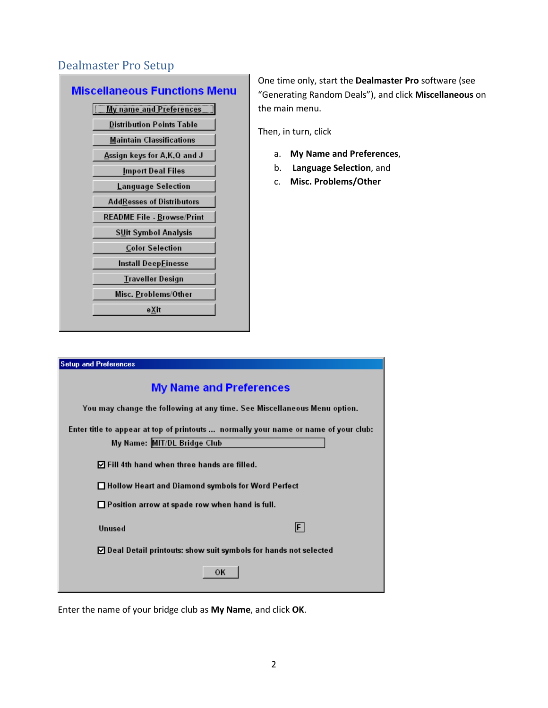# Dealmaster Pro Setup

### **Miscellaneous Functions Menu**

| <b>My name and Preferences</b>      |
|-------------------------------------|
| <b>Distribution Points Table</b>    |
| <b>Maintain Classifications</b>     |
| <u>A</u> ssign keys for A,K,Q and J |
| Import Deal Files                   |
| Language Selection                  |
| <b>AddResses of Distributors</b>    |
| <b>README File - Browse/Print</b>   |
| <b>SUit Symbol Analysis</b>         |
| <b>Color Selection</b>              |
| Install Deep <u>F</u> inesse        |
| Traveller Design                    |
| Misc. Problems/Other                |
| <u>eX</u> it                        |
|                                     |

One time only, start the Dealmaster Pro software (see "Generating Random Deals"), and click Miscellaneous on the main menu.

Then, in turn, click

- a. My Name and Preferences,
- b. Language Selection, and
- c. Misc. Problems/Other

| <b>Setup and Preferences</b>                                                        |  |  |  |
|-------------------------------------------------------------------------------------|--|--|--|
| <b>My Name and Preferences</b>                                                      |  |  |  |
| You may change the following at any time. See Miscellaneous Menu option.            |  |  |  |
| Enter title to appear at top of printouts  normally your name or name of your club: |  |  |  |
| My Name: MIT/DL Bridge Club                                                         |  |  |  |
| $\Box$ Fill 4th hand when three hands are filled.                                   |  |  |  |
| □ Hollow Heart and Diamond symbols for Word Perfect                                 |  |  |  |
| $\Box$ Position arrow at spade row when hand is full.                               |  |  |  |
| $ \mathsf{F} $<br>Unused                                                            |  |  |  |
| $\triangledown$ Deal Detail printouts: show suit symbols for hands not selected     |  |  |  |
| ОK                                                                                  |  |  |  |

Enter the name of your bridge club as My Name, and click OK.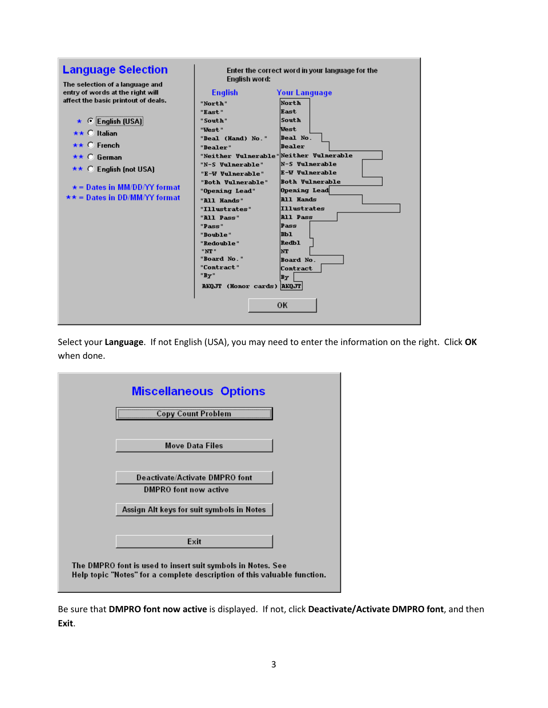| <b>Language Selection</b><br>The selection of a language and                                                                                                                                                                                     | Enter the correct word in your language for the<br>English word:                                                                                                                                                    |                                                                                                                                                                                               |  |
|--------------------------------------------------------------------------------------------------------------------------------------------------------------------------------------------------------------------------------------------------|---------------------------------------------------------------------------------------------------------------------------------------------------------------------------------------------------------------------|-----------------------------------------------------------------------------------------------------------------------------------------------------------------------------------------------|--|
| entry of words at the right will<br>affect the basic printout of deals.<br>★ © English (USA)<br>$\star\star$ $\degree$ Italian<br>$\star\star$ C French<br>** ∩ German<br>$\star\star$ C English (not USA)<br>$\star$ = Dates in MM/DD/YY format | <b>English</b><br>"North"<br>"East"<br>"South"<br>"Vest"<br>"Deal (Hand) No."<br>"Dealer"<br>"Neither Vulnerable" Neither Vulnerable<br>"N-S Vulnerable"<br>"E-W Vulnerable"<br>"Both Vulnerable"<br>"Opening Lead" | <b>Your Language</b><br>North<br><b>Rast</b><br><b>South</b><br>West<br>Deal No.<br>Dealer<br><b>N-S Vulnerable</b><br><b>E-W Vulnerable</b><br><b>Both Vulnerable</b><br><b>Opening Lead</b> |  |
| $\star \star =$ Dates in DD/MM/YY format                                                                                                                                                                                                         | "All Hands"<br>"Illustrates"<br>"All Pass"<br>"Pass"<br>"Double"<br>"Redouble"<br>"NT"<br>"Board No."<br>"Contract"<br>"Bv"<br>AKQJT (Honor cards) AKQJT                                                            | <b>All Hands</b><br><b>Illustrates</b><br><b>All Pass</b><br>Pass<br>mы<br><b>Redb1</b><br>lnt<br>Board No.<br>Contract<br>By<br><b>OK</b>                                                    |  |

Select your Language. If not English (USA), you may need to enter the information on the right. Click OK when done.



Be sure that DMPRO font now active is displayed. If not, click Deactivate/Activate DMPRO font, and then Exit.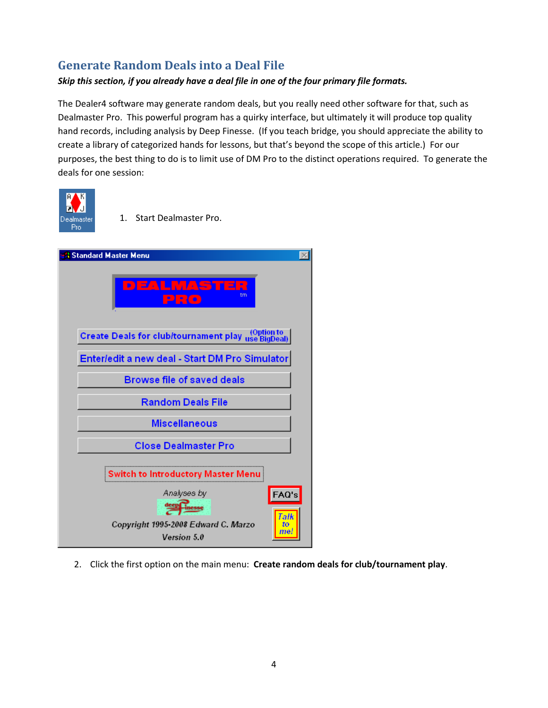# Generate Random Deals into a Deal File

#### Skip this section, if you already have a deal file in one of the four primary file formats.

The Dealer4 software may generate random deals, but you really need other software for that, such as Dealmaster Pro. This powerful program has a quirky interface, but ultimately it will produce top quality hand records, including analysis by Deep Finesse. (If you teach bridge, you should appreciate the ability to create a library of categorized hands for lessons, but that's beyond the scope of this article.) For our purposes, the best thing to do is to limit use of DM Pro to the distinct operations required. To generate the deals for one session:



1. Start Dealmaster Pro.

| <b>Standard Master Menu</b>                                                                                    |
|----------------------------------------------------------------------------------------------------------------|
| DEALMASTER<br>tm<br>PRO                                                                                        |
| Create Deals for club/tournament play use BigDeal                                                              |
| Enter/edit a new deal - Start DM Pro Simulator                                                                 |
| <b>Browse file of saved deals</b>                                                                              |
| <b>Random Deals File</b>                                                                                       |
| <b>Miscellaneous</b>                                                                                           |
| <b>Close Dealmaster Pro</b>                                                                                    |
| <b>Switch to Introductory Master Menu</b>                                                                      |
| Analyses by<br>FAQ's<br>deep inesse<br>Talk<br>Copyright 1995-2008 Edward C. Marzo<br>to<br>me.<br>Version 5.0 |

2. Click the first option on the main menu: Create random deals for club/tournament play.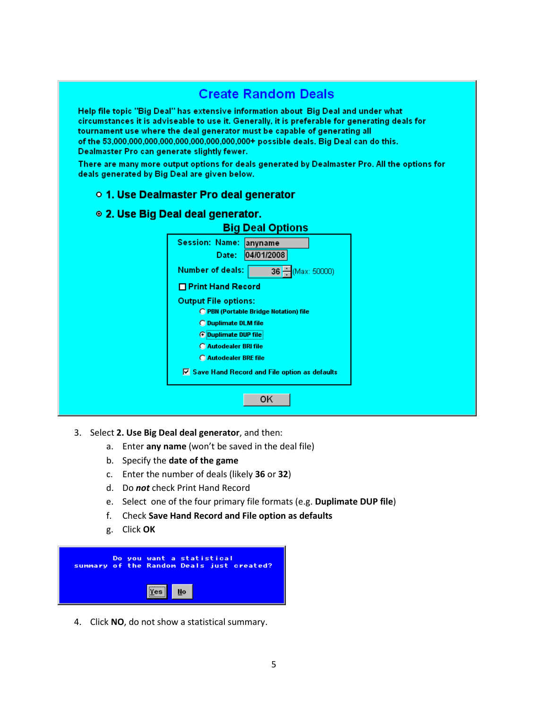# **Create Random Deals**

Help file topic "Big Deal" has extensive information about Big Deal and under what circumstances it is adviseable to use it. Generally, it is preferable for generating deals for tournament use where the deal generator must be capable of generating all of the 53,000,000,000,000,000,000,000,000,000+ possible deals. Big Deal can do this. Dealmaster Pro can generate slightly fewer.

There are many more output options for deals generated by Dealmaster Pro. All the options for deals generated by Big Deal are given below.

#### o 1. Use Dealmaster Pro deal generator

#### ◎ 2. Use Big Deal deal generator.

| Session: Name: anyname                                |
|-------------------------------------------------------|
| 04/01/2008<br>Date:                                   |
| <b>Number of deals:</b><br>36 - (Max: 50000)          |
| □ Print Hand Record                                   |
| <b>Output File options:</b>                           |
| <b>C PBN (Portable Bridge Notation) file</b>          |
| <b>O</b> Duplimate DLM file                           |
| <b>OD</b> Duplimate DUP file                          |
| <b>C</b> Autodealer BRI file                          |
| <b>C</b> Autodealer BRE file                          |
| $\nabla$ Save Hand Record and File option as defaults |

- 3. Select 2. Use Big Deal deal generator, and then:
	- a. Enter any name (won't be saved in the deal file)
	- b. Specify the date of the game
	- c. Enter the number of deals (likely 36 or 32)
	- d. Do not check Print Hand Record
	- e. Select one of the four primary file formats (e.g. Duplimate DUP file)
	- f. Check Save Hand Record and File option as defaults
	- g. Click OK



4. Click NO, do not show a statistical summary.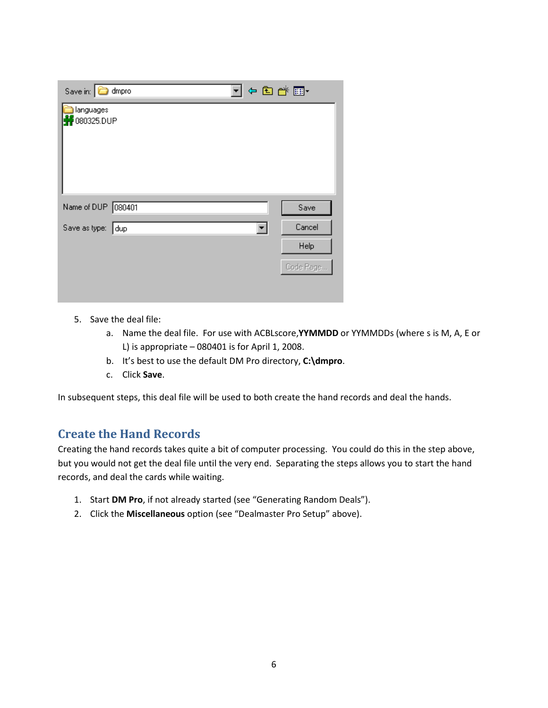| Save in: <b>C</b> dmpro                   | 4日普丽·     |
|-------------------------------------------|-----------|
| languages<br>080325.DUP                   |           |
| Name of DUP 080401                        | Save      |
| Save as type: dup<br>$\blacktriangledown$ | Cancel    |
|                                           | Help      |
|                                           | Code Page |
|                                           |           |

- 5. Save the deal file:
	- a. Name the deal file. For use with ACBLscore, YYMMDD or YYMMDDs (where s is M, A, E or L) is appropriate  $-080401$  is for April 1, 2008.
	- b. It's best to use the default DM Pro directory, C:\dmpro.
	- c. Click Save.

In subsequent steps, this deal file will be used to both create the hand records and deal the hands.

### Create the Hand Records

Creating the hand records takes quite a bit of computer processing. You could do this in the step above, but you would not get the deal file until the very end. Separating the steps allows you to start the hand records, and deal the cards while waiting.

- 1. Start DM Pro, if not already started (see "Generating Random Deals").
- 2. Click the Miscellaneous option (see "Dealmaster Pro Setup" above).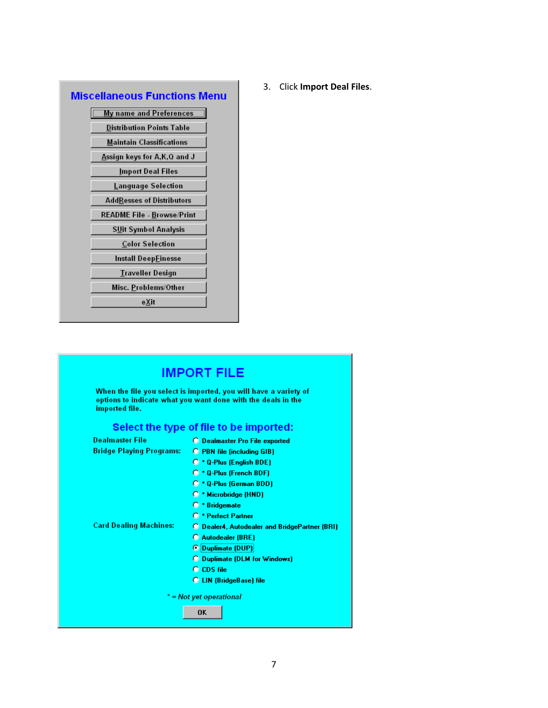| Miscellaneous Functions Menu        |
|-------------------------------------|
| <b>My name and Preferences</b>      |
| <b>Distribution Points Table</b>    |
| <b>Maintain Classifications</b>     |
| <u>A</u> ssign keys for A,K,Q and J |
| <u>I</u> mport Deal Files           |
| Language Selection                  |
| AddResses of Distributors           |
| <b>README File - Browse/Print</b>   |
| SUit Symbol Analysis                |
| Color Selection                     |
| Install Deep <u>F</u> inesse        |
| <b>Traveller Design</b>             |
| Misc. Problems/Other                |
| eXit                                |
|                                     |

3. Click Import Deal Files.

#### **IMPORT FILE** When the file you select is imported, you will have a variety of options to indicate what you want done with the deals in the imported file. Select the type of file to be imported: **Dealmaster File** O Dealmaster Pro File exported **Bridge Playing Programs: O PBN file (including GIB)** O \* Q-Plus (English BDE) O \* Q-Plus (French BDF) O \* Q-Plus (German BDD) O \* Microbridge (HND) O \* Bridgemate O \* Perfect Partner **Card Dealing Machines: O** Dealer4, Autodealer and BridgePartner (BRI) C Autodealer (BRE) © Duplimate (DUP) O Duplimate (DLM for Windows) C CDS file O LIN (BridgeBase) file  $*$  = Not yet operational 0K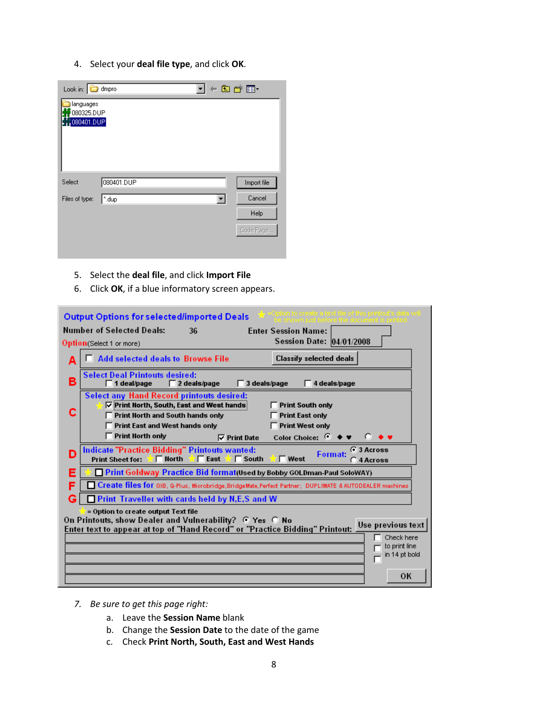4. Select your deal file type, and click OK.

| Look in: <b>c</b> dmpro    |            |  |   | ←白び囲・       |
|----------------------------|------------|--|---|-------------|
| languages<br>080325.DUP    |            |  |   |             |
| $\frac{17}{11}$ 080401.DUP |            |  |   |             |
|                            |            |  |   |             |
|                            |            |  |   |             |
|                            |            |  |   |             |
| Select                     | 080401.DUP |  |   | Import file |
| Files of type:             | ".dup      |  | ▼ | Cancel      |
|                            |            |  |   | Help        |
|                            |            |  |   | Code Page   |
|                            |            |  |   |             |

- 5. Select the deal file, and click Import File
- 6. Click OK, if a blue informatory screen appears.

|                                                                                                                                                                                                     | <b>Output Options for selected/imported Deals</b>                                                                                                                                                                     |                            |  |  |
|-----------------------------------------------------------------------------------------------------------------------------------------------------------------------------------------------------|-----------------------------------------------------------------------------------------------------------------------------------------------------------------------------------------------------------------------|----------------------------|--|--|
|                                                                                                                                                                                                     | <b>Number of Selected Deals:</b><br><b>Enter Session Name:</b><br>36                                                                                                                                                  |                            |  |  |
|                                                                                                                                                                                                     | Session Date: 04/01/2008<br>Option(Select 1 or more)                                                                                                                                                                  |                            |  |  |
| Α                                                                                                                                                                                                   | <b>Add selected deals to Browse File</b><br>Classify selected deals                                                                                                                                                   |                            |  |  |
| в                                                                                                                                                                                                   | <b>Select Deal Printouts desired:</b><br>1 deal/page<br>$\Box$ 2 deals/page<br>3 deals/page<br>4 deals/page                                                                                                           |                            |  |  |
|                                                                                                                                                                                                     | <b>Select any Hand Record printouts desired:</b><br><b><math>\overline{V}</math> Print North, South, East and West hands</b><br><b>Print South only</b><br>Print North and South hands only<br><b>Print East only</b> |                            |  |  |
|                                                                                                                                                                                                     | <b>Print West only</b><br>Print East and West hands only                                                                                                                                                              |                            |  |  |
|                                                                                                                                                                                                     | <b>Print North only</b><br>Color Choice: $\bullet \bullet$<br>$\nabla$ Print Date                                                                                                                                     | D.<br>$\bullet$ $\bullet$  |  |  |
| D                                                                                                                                                                                                   | Indicate "Practice Bidding" Printouts wanted:<br>Format:<br>$\Box$ East $\sqrt{ }$ $\Box$ South<br><b>Print Sheet for:</b><br>$\mathbb{Z} \Box$ North<br>$\blacksquare$ West                                          | G 3 Across<br>$C$ 4 Across |  |  |
| Ξ                                                                                                                                                                                                   | Print Goldway Practice Bid format(Used by Bobby GOLDman-Paul SoloWAY)                                                                                                                                                 |                            |  |  |
| F                                                                                                                                                                                                   | Create files for GIB, Q-Plus, Microbridge, BridgeMate, Perfect Partner; DUPLIMATE & AUTODEALER machines                                                                                                               |                            |  |  |
|                                                                                                                                                                                                     | <b>Print Traveller with cards held by N,E,S and W</b>                                                                                                                                                                 |                            |  |  |
| = Option to create output Text file<br>On Printouts, show Dealer and Vulnerability? @ Yes @ No<br>Use previous text<br>Enter text to appear at top of "Hand Record" or "Practice Bidding" Printout: |                                                                                                                                                                                                                       |                            |  |  |
| Check here                                                                                                                                                                                          |                                                                                                                                                                                                                       |                            |  |  |
| to print line<br>in 14 pt bold                                                                                                                                                                      |                                                                                                                                                                                                                       |                            |  |  |
|                                                                                                                                                                                                     |                                                                                                                                                                                                                       | OK                         |  |  |

- 7. Be sure to get this page right:
	- a. Leave the Session Name blank
	- b. Change the Session Date to the date of the game
	- c. Check Print North, South, East and West Hands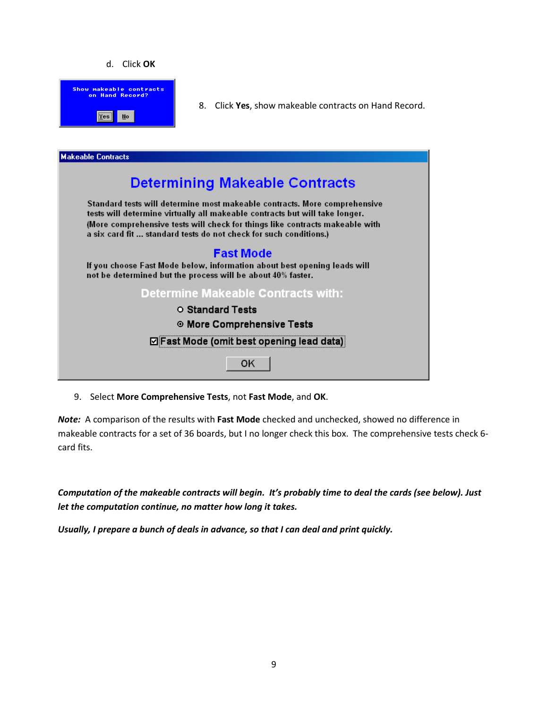#### d. Click OK



8. Click Yes, show makeable contracts on Hand Record.



9. Select More Comprehensive Tests, not Fast Mode, and OK.

Note: A comparison of the results with Fast Mode checked and unchecked, showed no difference in makeable contracts for a set of 36 boards, but I no longer check this box. The comprehensive tests check 6 card fits.

Computation of the makeable contracts will begin. It's probably time to deal the cards (see below). Just let the computation continue, no matter how long it takes.

Usually, I prepare a bunch of deals in advance, so that I can deal and print quickly.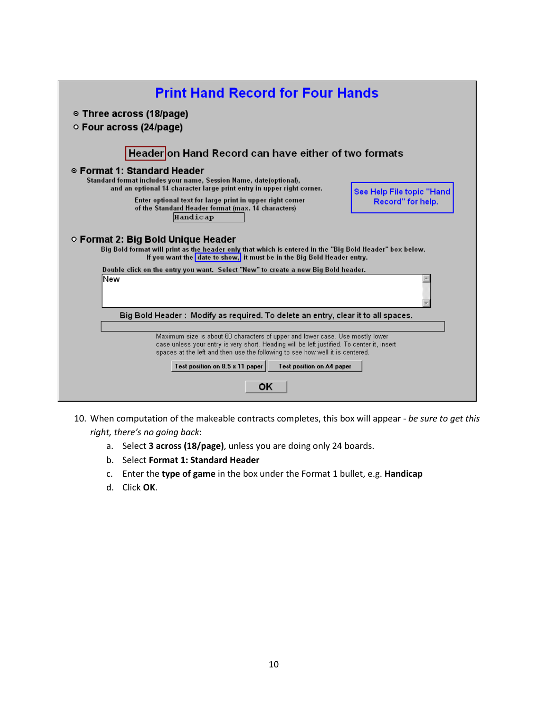| <b>Print Hand Record for Four Hands</b>                                                                                                                                                                                                                                                                                             |                           |
|-------------------------------------------------------------------------------------------------------------------------------------------------------------------------------------------------------------------------------------------------------------------------------------------------------------------------------------|---------------------------|
| ◎ Three across (18/page)<br>○ Four across (24/page)                                                                                                                                                                                                                                                                                 |                           |
| Headeron Hand Record can have either of two formats                                                                                                                                                                                                                                                                                 |                           |
| ◎ Format 1: Standard Header<br>Standard format includes your name, Session Name, date(optional),<br>and an optional 14 character large print entry in upper right corner.                                                                                                                                                           | See Help File topic "Hand |
| Enter optional text for large print in upper right corner<br>of the Standard Header format (max. 14 characters)<br>Handicap                                                                                                                                                                                                         | Record" for help.         |
| ○ Format 2: Big Bold Unique Header<br>Big Bold format will print as the header only that which is entered in the "Big Bold Header" box below.<br>If you want the date to show, it must be in the Big Bold Header entry.                                                                                                             |                           |
| Double click on the entry you want. Select "New" to create a new Big Bold header.                                                                                                                                                                                                                                                   |                           |
| lNew                                                                                                                                                                                                                                                                                                                                |                           |
| Big Bold Header:Modify as required. To delete an entry, clear it to all spaces.                                                                                                                                                                                                                                                     |                           |
| Maximum size is about 60 characters of upper and lower case. Use mostly lower<br>case unless your entry is very short. Heading will be left justified. To center it, insert<br>spaces at the left and then use the following to see how well it is centered.<br>Test position on 8.5 x 11 paper<br><b>Test position on A4 paper</b> |                           |
| ОK                                                                                                                                                                                                                                                                                                                                  |                           |

- 10. When computation of the makeable contracts completes, this box will appear be sure to get this right, there's no going back:
	- a. Select 3 across (18/page), unless you are doing only 24 boards.
	- b. Select Format 1: Standard Header
	- c. Enter the type of game in the box under the Format 1 bullet, e.g. Handicap
	- d. Click OK.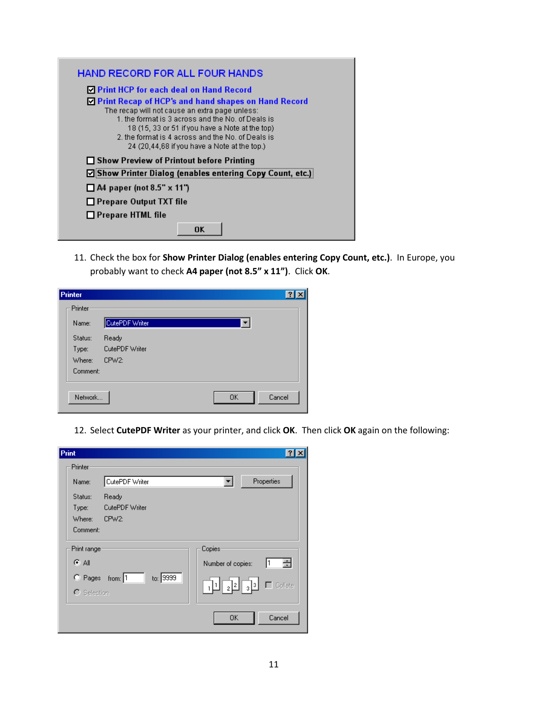| <b>HAND RECORD FOR ALL FOUR HANDS</b>                                                                                                                                                                                                                                                                               |
|---------------------------------------------------------------------------------------------------------------------------------------------------------------------------------------------------------------------------------------------------------------------------------------------------------------------|
| □ Print HCP for each deal on Hand Record                                                                                                                                                                                                                                                                            |
| ◘ Print Recap of HCP's and hand shapes on Hand Record<br>The recap will not cause an extra page unless:<br>1 the format is 3 across and the Nol of Deals is<br>18 (15, 33 or 51 if you have a Note at the top)<br>2, the format is 4 across and the No. of Deals is<br>24 (20,44,68 if you have a Note at the top.) |
| □ Show Preview of Printout before Printing                                                                                                                                                                                                                                                                          |
| ☑ Show Printer Dialog (enables entering Copy Count, etc.)                                                                                                                                                                                                                                                           |
| $\Box$ A4 paper (not 8.5" x 11")                                                                                                                                                                                                                                                                                    |
| $\Box$ Prepare Output TXT file                                                                                                                                                                                                                                                                                      |
| $\Box$ Prepare HTML file                                                                                                                                                                                                                                                                                            |
| OK                                                                                                                                                                                                                                                                                                                  |

11. Check the box for Show Printer Dialog (enables entering Copy Count, etc.). In Europe, you probably want to check A4 paper (not 8.5" x 11"). Click OK.

| Printer  |                    |           |        |
|----------|--------------------|-----------|--------|
| Printer  |                    |           |        |
| Name:    | CutePDF Writer     |           |        |
| Status:  | Ready              |           |        |
| Type:    | CutePDF Writer     |           |        |
| Where:   | CPW <sub>2</sub> : |           |        |
| Comment: |                    |           |        |
|          |                    |           |        |
| Network  |                    | <b>OK</b> | Cancel |
|          |                    |           |        |

12. Select CutePDF Writer as your printer, and click OK. Then click OK again on the following:

| Print               |                    |          |                                                                        |                |
|---------------------|--------------------|----------|------------------------------------------------------------------------|----------------|
| Printer             |                    |          |                                                                        |                |
| Name:               | CutePDF Writer     |          | ▼∣                                                                     | Properties     |
| Status:             | Ready              |          |                                                                        |                |
| Type:               | CutePDF Writer     |          |                                                                        |                |
| Where:              | CPW <sub>2</sub> : |          |                                                                        |                |
| Comment:            |                    |          |                                                                        |                |
| Print range:        |                    |          | Copies                                                                 |                |
| ়ে All              |                    |          | Number of copies:                                                      | 클<br>I1        |
| C Pages             | from: $1$          | to: 9999 |                                                                        |                |
| $\bigcap$ Selection |                    |          | $\lceil \frac{1}{2} \rceil \cdot \frac{1}{2} \rceil \cdot \frac{1}{2}$ | $\Box$ Collate |
|                     |                    |          | 0K                                                                     | Cancel         |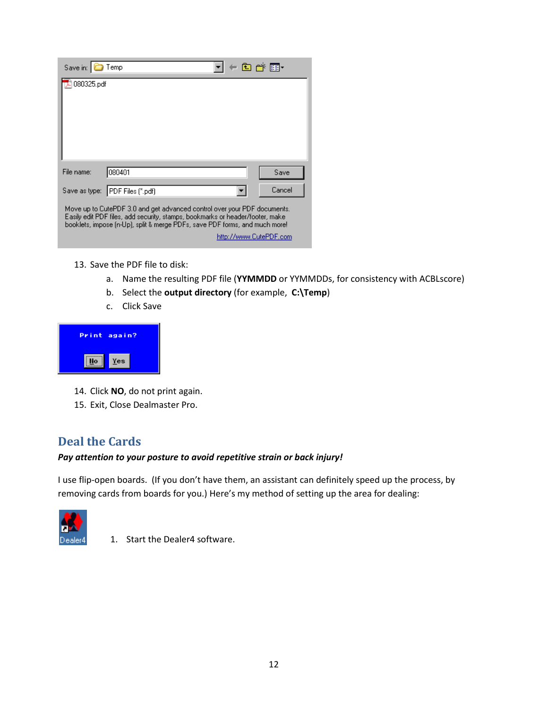| Save in:                                                                                                                                                                                                                                                           | Temp                            | - 8 - 8 - 8 - |  |  |  |  |
|--------------------------------------------------------------------------------------------------------------------------------------------------------------------------------------------------------------------------------------------------------------------|---------------------------------|---------------|--|--|--|--|
| 080325.pdf                                                                                                                                                                                                                                                         |                                 |               |  |  |  |  |
|                                                                                                                                                                                                                                                                    |                                 |               |  |  |  |  |
|                                                                                                                                                                                                                                                                    |                                 |               |  |  |  |  |
|                                                                                                                                                                                                                                                                    |                                 |               |  |  |  |  |
|                                                                                                                                                                                                                                                                    |                                 |               |  |  |  |  |
| File name:                                                                                                                                                                                                                                                         | 080401                          | Save          |  |  |  |  |
|                                                                                                                                                                                                                                                                    | Save as type: PDF Files (".pdf) | Cancel        |  |  |  |  |
| Move up to CutePDF 3.0 and get advanced control over your PDF documents.<br>Easily edit PDF files, add security, stamps, bookmarks or header/footer, make<br>booklets, impose (n-Up), split & merge PDFs, save PDF forms, and much more!<br>http://www.CutePDF.com |                                 |               |  |  |  |  |

- 13. Save the PDF file to disk:
	- a. Name the resulting PDF file (YYMMDD or YYMMDDs, for consistency with ACBLscore)
	- b. Select the output directory (for example, C:\Temp)
	- c. Click Save



- 14. Click NO, do not print again.
- 15. Exit, Close Dealmaster Pro.

### Deal the Cards

#### Pay attention to your posture to avoid repetitive strain or back injury!

I use flip-open boards. (If you don't have them, an assistant can definitely speed up the process, by removing cards from boards for you.) Here's my method of setting up the area for dealing:



1. Start the Dealer4 software.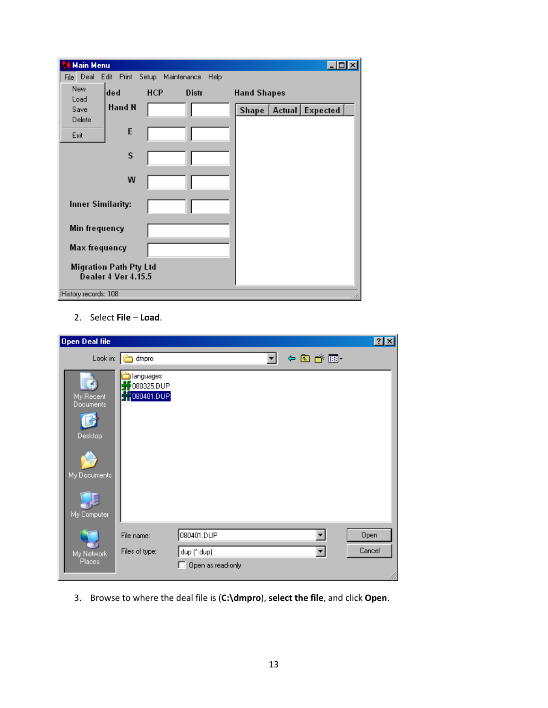| Main Menu                |                                                             |                         |              |                           |   |
|--------------------------|-------------------------------------------------------------|-------------------------|--------------|---------------------------|---|
| Deal<br>File             | Edit                                                        | Print Setup Maintenance | Help         |                           |   |
| New<br>Load              | ded                                                         | <b>HCP</b>              | <b>Distr</b> | <b>Hand Shapes</b>        |   |
| Save<br>Delete           | Hand N                                                      |                         |              | Shape   Actual   Expected |   |
| Exit                     | E                                                           |                         |              |                           |   |
|                          | S                                                           |                         |              |                           |   |
|                          | W                                                           |                         |              |                           |   |
| <b>Inner Similarity:</b> |                                                             |                         |              |                           |   |
| Min frequency            |                                                             |                         |              |                           |   |
| <b>Max frequency</b>     |                                                             |                         |              |                           |   |
|                          | <b>Migration Path Pty Ltd</b><br><b>Dealer 4 Ver 4.15.5</b> |                         |              |                           |   |
| History records: 108     |                                                             |                         |              |                           | h |

2. Select File – Load.

| Open Deal file |                                   |                                                      |                                  |       | 2X     |
|----------------|-----------------------------------|------------------------------------------------------|----------------------------------|-------|--------|
|                | Look in:                          | $\Box$ dmpro                                         |                                  | 中国首团中 |        |
|                | My Recent<br>Documents<br>Desktop | languages<br>080325.DUP<br>$\frac{1}{2}$ 1080401.DUP |                                  |       |        |
|                | My Documents                      |                                                      |                                  |       |        |
|                | My Computer                       |                                                      |                                  |       |        |
|                |                                   | File name:                                           | 080401.DUP                       |       | Open   |
|                | My Network<br>Places              | Files of type:                                       | dup (".dup)<br>Open as read-only | ▼     | Cancel |

3. Browse to where the deal file is (C:\dmpro), select the file, and click Open.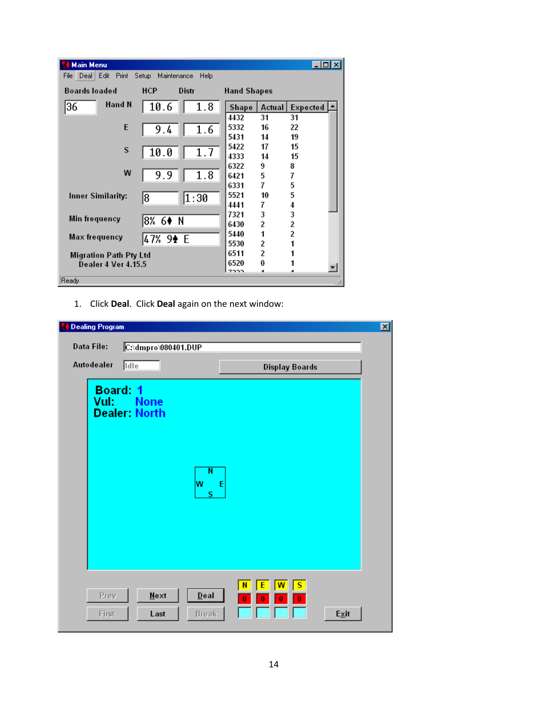| <b>Main Menu</b>                                                       |            |       |                         |                         | - I⊡I ×I   |  |  |
|------------------------------------------------------------------------|------------|-------|-------------------------|-------------------------|------------|--|--|
| Deal<br>Edit<br><b>Print</b><br>Maintenance<br>Help<br>File I<br>Setup |            |       |                         |                         |            |  |  |
| <b>Boards loaded</b>                                                   | <b>HCP</b> | Distr | <b>Hand Shapes</b>      |                         |            |  |  |
| Hand N<br>36                                                           | 10.6       | 1.8   | Shape                   | Actual                  | Expected [ |  |  |
|                                                                        |            |       | 4432                    | 31                      | 31         |  |  |
| E                                                                      | 9.4        | 1.6   | 5332                    | 16                      | 22         |  |  |
|                                                                        |            |       | 5431                    | 14                      | 19         |  |  |
| S                                                                      |            |       | 5422                    | 17                      | 15         |  |  |
|                                                                        | 10.0       | 1.7   | 4333                    | 14                      | 15         |  |  |
|                                                                        |            |       | 6322                    | 9                       | 8          |  |  |
| W                                                                      | 9.9        | 1.8   | 6421                    | 5                       | 7          |  |  |
|                                                                        |            |       | 6331                    | 7                       | 5          |  |  |
| Inner Similarity:                                                      | 18         | 1:30  | 5521                    | 10                      | 5          |  |  |
|                                                                        |            |       | 4441                    | 7                       | 4          |  |  |
| Min frequency                                                          |            |       | 7321                    | 3                       | 3          |  |  |
|                                                                        | 18% 6♦ N   |       | 6430                    | $\mathfrak z$           | 2          |  |  |
| Max frequency                                                          |            |       | 5440                    | 1                       | 2          |  |  |
|                                                                        | 47% 9♠ E   |       | 5530                    | $\overline{\mathbf{c}}$ | 1          |  |  |
| <b>Migration Path Pty Ltd</b>                                          |            | 6511  | $\overline{\mathbf{c}}$ |                         |            |  |  |
| <b>Dealer 4 Ver 4.15.5</b>                                             |            |       | 6520                    | 0                       |            |  |  |
|                                                                        |            |       | 7222                    | d.                      |            |  |  |
| Ready                                                                  |            |       |                         |                         | h.         |  |  |

1. Click Deal. Click Deal again on the next window:

| 図<br><b>Dealing Program</b> |                                           |                                                              |      |  |  |  |  |
|-----------------------------|-------------------------------------------|--------------------------------------------------------------|------|--|--|--|--|
| <b>Data File:</b>           | C:\dmpro\080401.DUP                       |                                                              |      |  |  |  |  |
| Autodealer                  | <b>Idle</b>                               | <b>Display Boards</b>                                        |      |  |  |  |  |
| <b>Board: 1</b><br>Vul:     | <b>None</b><br><b>Dealer: North</b>       |                                                              |      |  |  |  |  |
|                             | $\overline{\mathsf{N}}$<br>W<br>S         | E                                                            |      |  |  |  |  |
| Prev<br>First               | $Next$<br>$D$ eal<br><b>Break</b><br>Last | $\overline{\mathsf{w}}$<br>$\overline{\mathbf{s}}$<br>N<br>0 | Exit |  |  |  |  |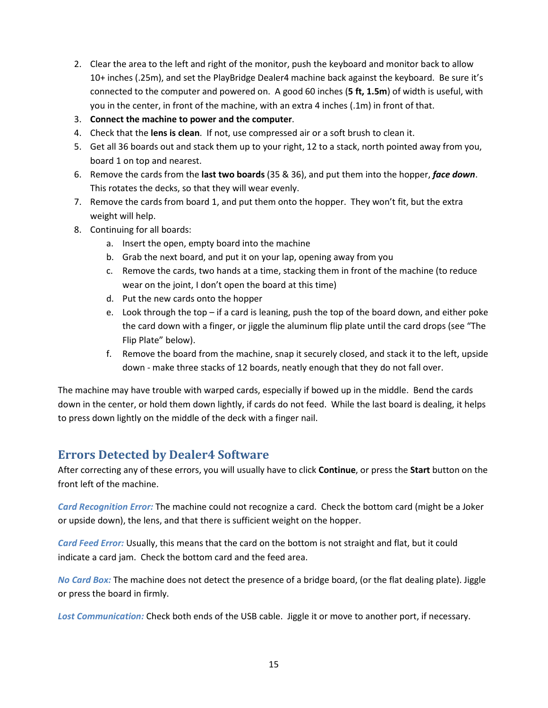- 2. Clear the area to the left and right of the monitor, push the keyboard and monitor back to allow 10+ inches (.25m), and set the PlayBridge Dealer4 machine back against the keyboard. Be sure it's connected to the computer and powered on. A good 60 inches (5 ft, 1.5m) of width is useful, with you in the center, in front of the machine, with an extra 4 inches (.1m) in front of that.
- 3. Connect the machine to power and the computer.
- 4. Check that the lens is clean. If not, use compressed air or a soft brush to clean it.
- 5. Get all 36 boards out and stack them up to your right, 12 to a stack, north pointed away from you, board 1 on top and nearest.
- 6. Remove the cards from the last two boards (35 & 36), and put them into the hopper, face down. This rotates the decks, so that they will wear evenly.
- 7. Remove the cards from board 1, and put them onto the hopper. They won't fit, but the extra weight will help.
- 8. Continuing for all boards:
	- a. Insert the open, empty board into the machine
	- b. Grab the next board, and put it on your lap, opening away from you
	- c. Remove the cards, two hands at a time, stacking them in front of the machine (to reduce wear on the joint, I don't open the board at this time)
	- d. Put the new cards onto the hopper
	- e. Look through the top if a card is leaning, push the top of the board down, and either poke the card down with a finger, or jiggle the aluminum flip plate until the card drops (see "The Flip Plate" below).
	- f. Remove the board from the machine, snap it securely closed, and stack it to the left, upside down - make three stacks of 12 boards, neatly enough that they do not fall over.

The machine may have trouble with warped cards, especially if bowed up in the middle. Bend the cards down in the center, or hold them down lightly, if cards do not feed. While the last board is dealing, it helps to press down lightly on the middle of the deck with a finger nail.

### Errors Detected by Dealer4 Software

After correcting any of these errors, you will usually have to click Continue, or press the Start button on the front left of the machine.

Card Recognition Error: The machine could not recognize a card. Check the bottom card (might be a Joker or upside down), the lens, and that there is sufficient weight on the hopper.

Card Feed Error: Usually, this means that the card on the bottom is not straight and flat, but it could indicate a card jam. Check the bottom card and the feed area.

No Card Box: The machine does not detect the presence of a bridge board, (or the flat dealing plate). Jiggle or press the board in firmly.

Lost Communication: Check both ends of the USB cable. Jiggle it or move to another port, if necessary.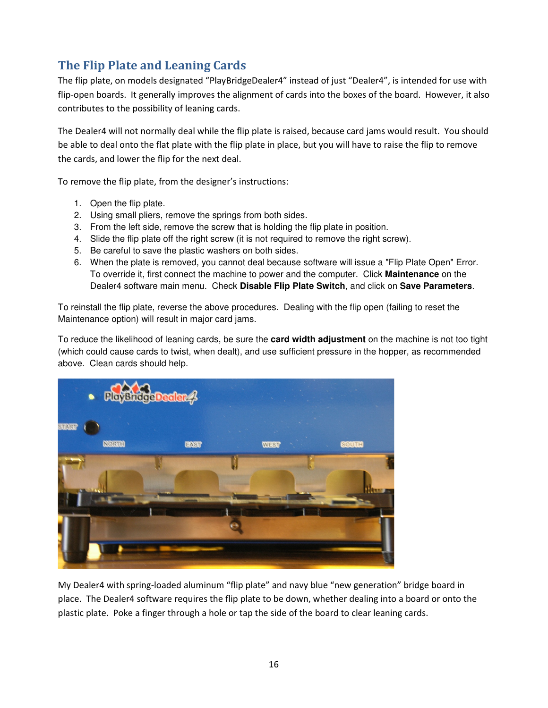# The Flip Plate and Leaning Cards

The flip plate, on models designated "PlayBridgeDealer4" instead of just "Dealer4", is intended for use with flip-open boards. It generally improves the alignment of cards into the boxes of the board. However, it also contributes to the possibility of leaning cards.

The Dealer4 will not normally deal while the flip plate is raised, because card jams would result. You should be able to deal onto the flat plate with the flip plate in place, but you will have to raise the flip to remove the cards, and lower the flip for the next deal.

To remove the flip plate, from the designer's instructions:

- 1. Open the flip plate.
- 2. Using small pliers, remove the springs from both sides.
- 3. From the left side, remove the screw that is holding the flip plate in position.
- 4. Slide the flip plate off the right screw (it is not required to remove the right screw).
- 5. Be careful to save the plastic washers on both sides.
- 6. When the plate is removed, you cannot deal because software will issue a "Flip Plate Open" Error. To override it, first connect the machine to power and the computer. Click **Maintenance** on the Dealer4 software main menu. Check **Disable Flip Plate Switch**, and click on **Save Parameters**.

To reinstall the flip plate, reverse the above procedures. Dealing with the flip open (failing to reset the Maintenance option) will result in major card jams.

To reduce the likelihood of leaning cards, be sure the **card width adjustment** on the machine is not too tight (which could cause cards to twist, when dealt), and use sufficient pressure in the hopper, as recommended above. Clean cards should help.



My Dealer4 with spring-loaded aluminum "flip plate" and navy blue "new generation" bridge board in place. The Dealer4 software requires the flip plate to be down, whether dealing into a board or onto the plastic plate. Poke a finger through a hole or tap the side of the board to clear leaning cards.